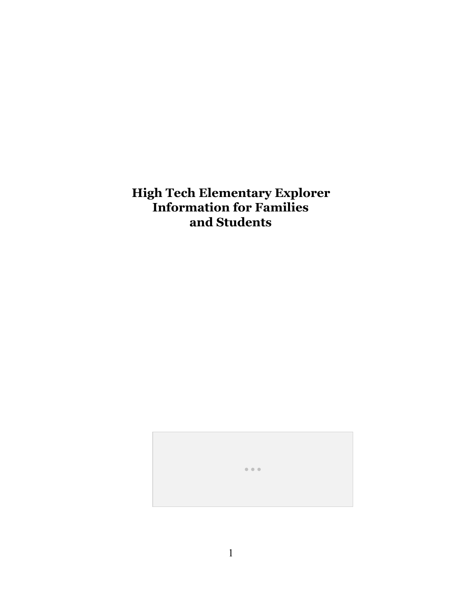**High Tech Elementary Explorer Information for Families and Students**

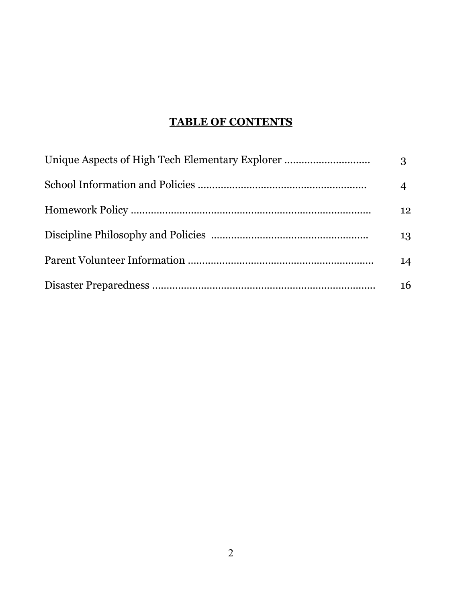# **TABLE OF CONTENTS**

| Unique Aspects of High Tech Elementary Explorer | 3  |
|-------------------------------------------------|----|
|                                                 |    |
|                                                 | 12 |
|                                                 | 13 |
|                                                 | 14 |
|                                                 | 16 |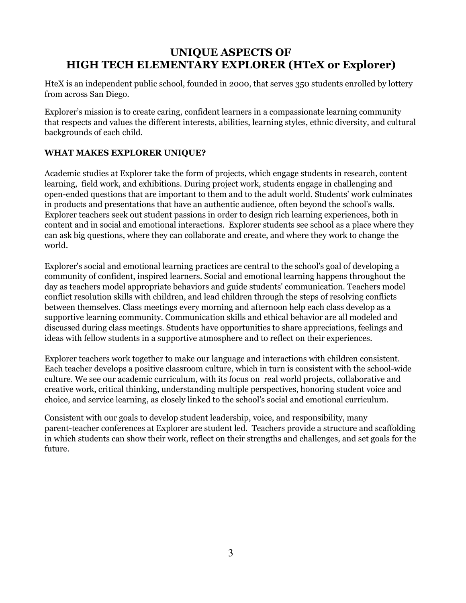## **UNIQUE ASPECTS OF HIGH TECH ELEMENTARY EXPLORER (HTeX or Explorer)**

HteX is an independent public school, founded in 2000, that serves 350 students enrolled by lottery from across San Diego.

Explorer's mission is to create caring, confident learners in a compassionate learning community that respects and values the different interests, abilities, learning styles, ethnic diversity, and cultural backgrounds of each child.

#### **WHAT MAKES EXPLORER UNIQUE?**

Academic studies at Explorer take the form of projects, which engage students in research, content learning, field work, and exhibitions. During project work, students engage in challenging and open-ended questions that are important to them and to the adult world. Students' work culminates in products and presentations that have an authentic audience, often beyond the school's walls. Explorer teachers seek out student passions in order to design rich learning experiences, both in content and in social and emotional interactions. Explorer students see school as a place where they can ask big questions, where they can collaborate and create, and where they work to change the world.

Explorer's social and emotional learning practices are central to the school's goal of developing a community of confident, inspired learners. Social and emotional learning happens throughout the day as teachers model appropriate behaviors and guide students' communication. Teachers model conflict resolution skills with children, and lead children through the steps of resolving conflicts between themselves. Class meetings every morning and afternoon help each class develop as a supportive learning community. Communication skills and ethical behavior are all modeled and discussed during class meetings. Students have opportunities to share appreciations, feelings and ideas with fellow students in a supportive atmosphere and to reflect on their experiences.

Explorer teachers work together to make our language and interactions with children consistent. Each teacher develops a positive classroom culture, which in turn is consistent with the school-wide culture. We see our academic curriculum, with its focus on real world projects, collaborative and creative work, critical thinking, understanding multiple perspectives, honoring student voice and choice, and service learning, as closely linked to the school's social and emotional curriculum.

Consistent with our goals to develop student leadership, voice, and responsibility, many parent-teacher conferences at Explorer are student led. Teachers provide a structure and scaffolding in which students can show their work, reflect on their strengths and challenges, and set goals for the future.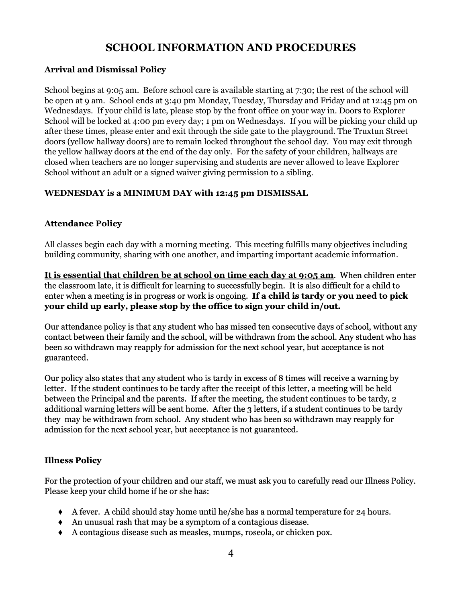## **SCHOOL INFORMATION AND PROCEDURES**

#### **Arrival and Dismissal Policy**

School begins at 9:05 am. Before school care is available starting at 7:30; the rest of the school will be open at 9 am. School ends at 3:40 pm Monday, Tuesday, Thursday and Friday and at 12:45 pm on Wednesdays. If your child is late, please stop by the front office on your way in. Doors to Explorer School will be locked at 4:00 pm every day; 1 pm on Wednesdays. If you will be picking your child up after these times, please enter and exit through the side gate to the playground. The Truxtun Street doors (yellow hallway doors) are to remain locked throughout the school day. You may exit through the yellow hallway doors at the end of the day only. For the safety of your children, hallways are closed when teachers are no longer supervising and students are never allowed to leave Explorer School without an adult or a signed waiver giving permission to a sibling.

#### **WEDNESDAY is a MINIMUM DAY with 12:45 pm DISMISSAL**

#### **Attendance Policy**

All classes begin each day with a morning meeting. This meeting fulfills many objectives including building community, sharing with one another, and imparting important academic information.

**It is essential that children be at school on time each day at 9:05 am**. When children enter the classroom late, it is difficult for learning to successfully begin. It is also difficult for a child to enter when a meeting is in progress or work is ongoing. **If a child is tardy or you need to pick your child up early, please stop by the office to sign your child in/out.**

Our attendance policy is that any student who has missed ten consecutive days of school, without any contact between their family and the school, will be withdrawn from the school. Any student who has been so withdrawn may reapply for admission for the next school year, but acceptance is not guaranteed.

Our policy also states that any student who is tardy in excess of 8 times will receive a warning by letter. If the student continues to be tardy after the receipt of this letter, a meeting will be held between the Principal and the parents. If after the meeting, the student continues to be tardy, 2 additional warning letters will be sent home. After the 3 letters, if a student continues to be tardy they may be withdrawn from school. Any student who has been so withdrawn may reapply for admission for the next school year, but acceptance is not guaranteed.

#### **Illness Policy**

For the protection of your children and our staff, we must ask you to carefully read our Illness Policy. Please keep your child home if he or she has:

- ♦ A fever. A child should stay home until he/she has a normal temperature for 24 hours.
- ♦ An unusual rash that may be a symptom of a contagious disease.
- ♦ A contagious disease such as measles, mumps, roseola, or chicken pox.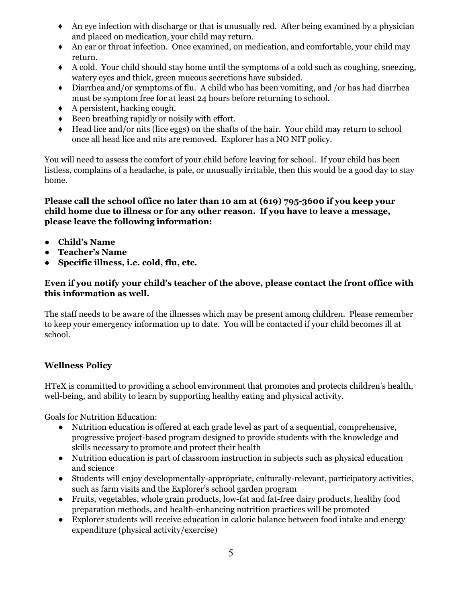- ♦ An eye infection with discharge or that is unusually red. After being examined by a physician and placed on medication, your child may return.
- ♦ An ear or throat infection. Once examined, on medication, and comfortable, your child may return.
- ♦ A cold. Your child should stay home until the symptoms of a cold such as coughing, sneezing, watery eyes and thick, green mucous secretions have subsided.
- ♦ Diarrhea and/or symptoms of flu. A child who has been vomiting, and /or has had diarrhea must be symptom free for at least 24 hours before returning to school.
- $\leftrightarrow$  A persistent, hacking cough.
- ♦ Been breathing rapidly or noisily with effort.
- ♦ Head lice and/or nits (lice eggs) on the shafts of the hair. Your child may return to school once all head lice and nits are removed. Explorer has a NO NIT policy.

You will need to assess the comfort of your child before leaving for school. If your child has been listless, complains of a headache, is pale, or unusually irritable, then this would be a good day to stay home.

#### **Please call the school office no later than 10 am at (619) 795-3600 if you keep your child home due to illness or for any other reason. If you have to leave a message, please leave the following information:**

- **● Child's Name**
- **● Teacher's Name**
- **● Specific illness, i.e. cold, flu, etc.**

#### **Even if you notify your child's teacher of the above, please contact the front office with this information as well.**

The staff needs to be aware of the illnesses which may be present among children. Please remember to keep your emergency information up to date. You will be contacted if your child becomes ill at school.

#### **Wellness Policy**

HTeX is committed to providing a school environment that promotes and protects children's health, well-being, and ability to learn by supporting healthy eating and physical activity.

Goals for Nutrition Education:

- Nutrition education is offered at each grade level as part of a sequential, comprehensive, progressive project-based program designed to provide students with the knowledge and skills necessary to promote and protect their health
- Nutrition education is part of classroom instruction in subjects such as physical education and science
- Students will enjoy developmentally-appropriate, culturally-relevant, participatory activities, such as farm visits and the Explorer's school garden program
- Fruits, vegetables, whole grain products, low-fat and fat-free dairy products, healthy food preparation methods, and health-enhancing nutrition practices will be promoted
- Explorer students will receive education in caloric balance between food intake and energy expenditure (physical activity/exercise)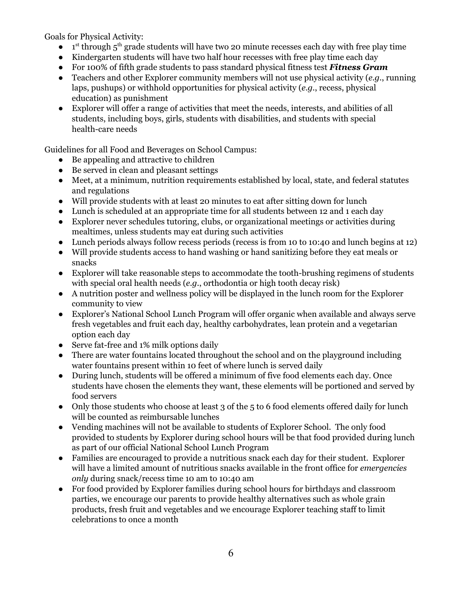Goals for Physical Activity:

- $\bullet$  1<sup>st</sup> through  $5<sup>th</sup>$  grade students will have two 20 minute recesses each day with free play time
- Kindergarten students will have two half hour recesses with free play time each day
- For 100% of fifth grade students to pass standard physical fitness test *Fitness Gram*
- Teachers and other Explorer community members will not use physical activity (*e*.*g*., running laps, pushups) or withhold opportunities for physical activity (*e*.*g*., recess, physical education) as punishment
- Explorer will offer a range of activities that meet the needs, interests, and abilities of all students, including boys, girls, students with disabilities, and students with special health-care needs

Guidelines for all Food and Beverages on School Campus:

- Be appealing and attractive to children
- Be served in clean and pleasant settings
- Meet, at a minimum, nutrition requirements established by local, state, and federal statutes and regulations
- Will provide students with at least 20 minutes to eat after sitting down for lunch
- Lunch is scheduled at an appropriate time for all students between 12 and 1 each day
- Explorer never schedules tutoring, clubs, or organizational meetings or activities during mealtimes, unless students may eat during such activities
- Lunch periods always follow recess periods (recess is from 10 to 10:40 and lunch begins at 12)
- Will provide students access to hand washing or hand sanitizing before they eat meals or snacks
- Explorer will take reasonable steps to accommodate the tooth-brushing regimens of students with special oral health needs (*e*.*g*., orthodontia or high tooth decay risk)
- A nutrition poster and wellness policy will be displayed in the lunch room for the Explorer community to view
- Explorer's National School Lunch Program will offer organic when available and always serve fresh vegetables and fruit each day, healthy carbohydrates, lean protein and a vegetarian option each day
- Serve fat-free and 1% milk options daily
- There are water fountains located throughout the school and on the playground including water fountains present within 10 feet of where lunch is served daily
- During lunch, students will be offered a minimum of five food elements each day. Once students have chosen the elements they want, these elements will be portioned and served by food servers
- Only those students who choose at least 3 of the 5 to 6 food elements offered daily for lunch will be counted as reimbursable lunches
- Vending machines will not be available to students of Explorer School. The only food provided to students by Explorer during school hours will be that food provided during lunch as part of our official National School Lunch Program
- Families are encouraged to provide a nutritious snack each day for their student. Explorer will have a limited amount of nutritious snacks available in the front office for *emergencies only* during snack/recess time 10 am to 10:40 am
- For food provided by Explorer families during school hours for birthdays and classroom parties, we encourage our parents to provide healthy alternatives such as whole grain products, fresh fruit and vegetables and we encourage Explorer teaching staff to limit celebrations to once a month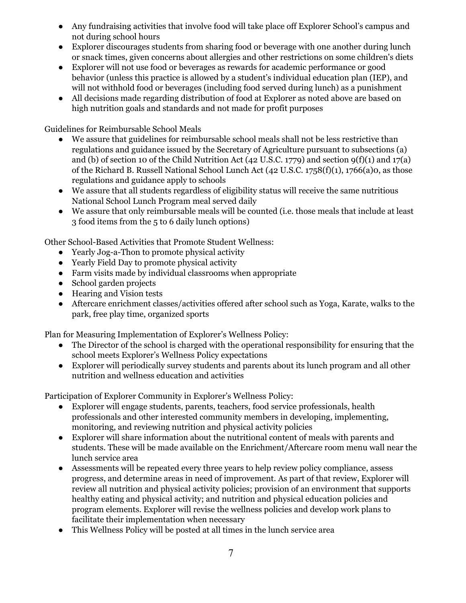- Any fundraising activities that involve food will take place off Explorer School's campus and not during school hours
- Explorer discourages students from sharing food or beverage with one another during lunch or snack times, given concerns about allergies and other restrictions on some children's diets
- Explorer will not use food or beverages as rewards for academic performance or good behavior (unless this practice is allowed by a student's individual education plan (IEP), and will not withhold food or beverages (including food served during lunch) as a punishment
- All decisions made regarding distribution of food at Explorer as noted above are based on high nutrition goals and standards and not made for profit purposes

Guidelines for Reimbursable School Meals

- We assure that guidelines for reimbursable school meals shall not be less restrictive than regulations and guidance issued by the Secretary of Agriculture pursuant to subsections (a) and (b) of section 10 of the Child Nutrition Act (42 U.S.C. 1779) and section  $9(f)(1)$  and  $17(a)$ of the Richard B. Russell National School Lunch Act (42 U.S.C. 1758(f)(1), 1766(a)0, as those regulations and guidance apply to schools
- We assure that all students regardless of eligibility status will receive the same nutritious National School Lunch Program meal served daily
- We assure that only reimbursable meals will be counted (i.e. those meals that include at least 3 food items from the 5 to 6 daily lunch options)

Other School-Based Activities that Promote Student Wellness:

- Yearly Jog-a-Thon to promote physical activity
- Yearly Field Day to promote physical activity
- Farm visits made by individual classrooms when appropriate
- School garden projects
- Hearing and Vision tests
- Aftercare enrichment classes/activities offered after school such as Yoga, Karate, walks to the park, free play time, organized sports

Plan for Measuring Implementation of Explorer's Wellness Policy:

- The Director of the school is charged with the operational responsibility for ensuring that the school meets Explorer's Wellness Policy expectations
- Explorer will periodically survey students and parents about its lunch program and all other nutrition and wellness education and activities

Participation of Explorer Community in Explorer's Wellness Policy:

- Explorer will engage students, parents, teachers, food service professionals, health professionals and other interested community members in developing, implementing, monitoring, and reviewing nutrition and physical activity policies
- Explorer will share information about the nutritional content of meals with parents and students. These will be made available on the Enrichment/Aftercare room menu wall near the lunch service area
- **●** Assessments will be repeated every three years to help review policy compliance, assess progress, and determine areas in need of improvement. As part of that review, Explorer will review all nutrition and physical activity policies; provision of an environment that supports healthy eating and physical activity; and nutrition and physical education policies and program elements. Explorer will revise the wellness policies and develop work plans to facilitate their implementation when necessary
- This Wellness Policy will be posted at all times in the lunch service area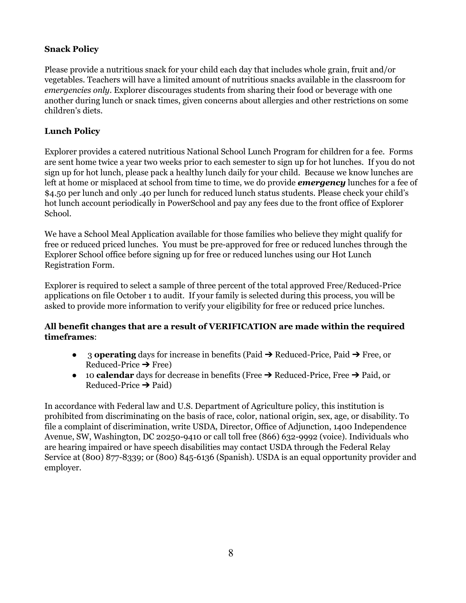#### **Snack Policy**

Please provide a nutritious snack for your child each day that includes whole grain, fruit and/or vegetables. Teachers will have a limited amount of nutritious snacks available in the classroom for *emergencies only*. Explorer discourages students from sharing their food or beverage with one another during lunch or snack times, given concerns about allergies and other restrictions on some children's diets.

#### **Lunch Policy**

Explorer provides a catered nutritious National School Lunch Program for children for a fee. Forms are sent home twice a year two weeks prior to each semester to sign up for hot lunches. If you do not sign up for hot lunch, please pack a healthy lunch daily for your child. Because we know lunches are left at home or misplaced at school from time to time, we do provide *emergency*lunches for a fee of \$4.50 per lunch and only .40 per lunch for reduced lunch status students. Please check your child's hot lunch account periodically in PowerSchool and pay any fees due to the front office of Explorer School.

We have a School Meal Application available for those families who believe they might qualify for free or reduced priced lunches. You must be pre-approved for free or reduced lunches through the Explorer School office before signing up for free or reduced lunches using our Hot Lunch Registration Form.

Explorer is required to select a sample of three percent of the total approved Free/Reduced-Price applications on file October 1 to audit. If your family is selected during this process, you will be asked to provide more information to verify your eligibility for free or reduced price lunches.

#### **All benefit changes that are a result of VERIFICATION are made within the required timeframes**:

- 3 **operating**days for increase in benefits (Paid ➔ Reduced-Price, Paid ➔ Free, or Reduced-Price  $\rightarrow$  Free)
- 10 **calendar**days for decrease in benefits (Free ➔ Reduced-Price, Free ➔ Paid, or Reduced-Price  $\rightarrow$  Paid)

In accordance with Federal law and U.S. Department of Agriculture policy, this institution is prohibited from discriminating on the basis of race, color, national origin, sex, age, or disability. To file a complaint of discrimination, write USDA, Director, Office of Adjunction, 1400 Independence Avenue, SW, Washington, DC 20250-9410 or call toll free (866) 632-9992 (voice). Individuals who are hearing impaired or have speech disabilities may contact USDA through the Federal Relay Service at (800) 877-8339; or (800) 845-6136 (Spanish). USDA is an equal opportunity provider and employer.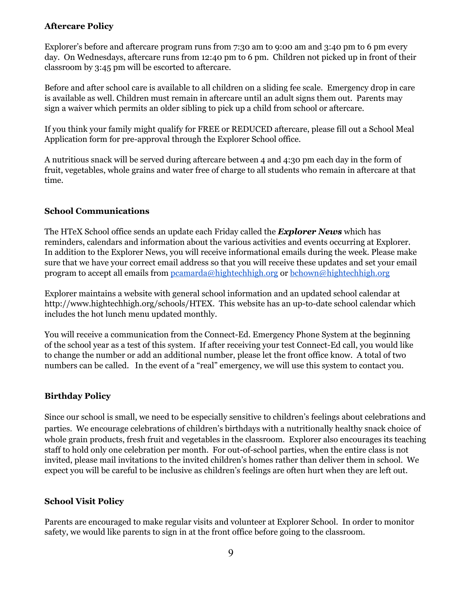#### **Aftercare Policy**

Explorer's before and aftercare program runs from 7:30 am to 9:00 am and 3:40 pm to 6 pm every day. On Wednesdays, aftercare runs from 12:40 pm to 6 pm. Children not picked up in front of their classroom by 3:45 pm will be escorted to aftercare.

Before and after school care is available to all children on a sliding fee scale. Emergency drop in care is available as well. Children must remain in aftercare until an adult signs them out. Parents may sign a waiver which permits an older sibling to pick up a child from school or aftercare.

If you think your family might qualify for FREE or REDUCED aftercare, please fill out a School Meal Application form for pre-approval through the Explorer School office.

A nutritious snack will be served during aftercare between 4 and 4:30 pm each day in the form of fruit, vegetables, whole grains and water free of charge to all students who remain in aftercare at that time.

#### **School Communications**

The HTeX School office sends an update each Friday called the *Explorer News*which has reminders, calendars and information about the various activities and events occurring at Explorer. In addition to the Explorer News, you will receive informational emails during the week. Please make sure that we have your correct email address so that you will receive these updates and set your email program to accept all emails from [pcamarda@hightechhigh.org](mailto:pcamarda@hightechhigh.org) or [bchown@hightechhigh.org](mailto:bchown@hightechhigh.org)

Explorer maintains a website with general school information and an updated school calendar at http://www.hightechhigh.org/schools/HTEX. This website has an up-to-date school calendar which includes the hot lunch menu updated monthly.

You will receive a communication from the Connect-Ed. Emergency Phone System at the beginning of the school year as a test of this system. If after receiving your test Connect-Ed call, you would like to change the number or add an additional number, please let the front office know. A total of two numbers can be called. In the event of a "real" emergency, we will use this system to contact you.

#### **Birthday Policy**

Since our school is small, we need to be especially sensitive to children's feelings about celebrations and parties. We encourage celebrations of children's birthdays with a nutritionally healthy snack choice of whole grain products, fresh fruit and vegetables in the classroom. Explorer also encourages its teaching staff to hold only one celebration per month. For out-of-school parties, when the entire class is not invited, please mail invitations to the invited children's homes rather than deliver them in school. We expect you will be careful to be inclusive as children's feelings are often hurt when they are left out.

#### **School Visit Policy**

Parents are encouraged to make regular visits and volunteer at Explorer School. In order to monitor safety, we would like parents to sign in at the front office before going to the classroom.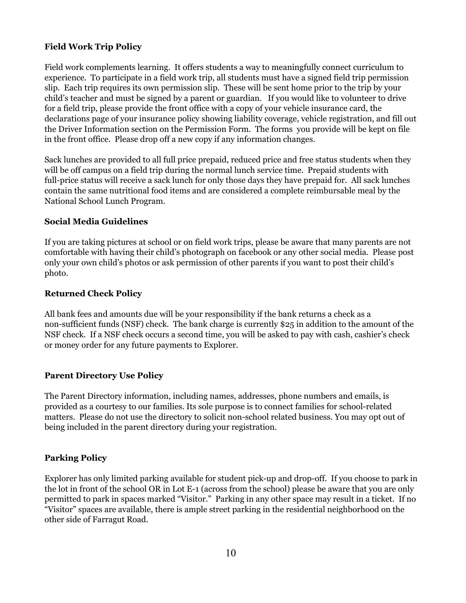#### **Field Work Trip Policy**

Field work complements learning. It offers students a way to meaningfully connect curriculum to experience. To participate in a field work trip, all students must have a signed field trip permission slip. Each trip requires its own permission slip. These will be sent home prior to the trip by your child's teacher and must be signed by a parent or guardian. If you would like to volunteer to drive for a field trip, please provide the front office with a copy of your vehicle insurance card, the declarations page of your insurance policy showing liability coverage, vehicle registration, and fill out the Driver Information section on the Permission Form. The forms you provide will be kept on file in the front office. Please drop off a new copy if any information changes.

Sack lunches are provided to all full price prepaid, reduced price and free status students when they will be off campus on a field trip during the normal lunch service time. Prepaid students with full-price status will receive a sack lunch for only those days they have prepaid for. All sack lunches contain the same nutritional food items and are considered a complete reimbursable meal by the National School Lunch Program.

#### **Social Media Guidelines**

If you are taking pictures at school or on field work trips, please be aware that many parents are not comfortable with having their child's photograph on facebook or any other social media. Please post only your own child's photos or ask permission of other parents if you want to post their child's photo.

#### **Returned Check Policy**

All bank fees and amounts due will be your responsibility if the bank returns a check as a non-sufficient funds (NSF) check. The bank charge is currently \$25 in addition to the amount of the NSF check. If a NSF check occurs a second time, you will be asked to pay with cash, cashier's check or money order for any future payments to Explorer.

#### **Parent Directory Use Policy**

The Parent Directory information, including names, addresses, phone numbers and emails, is provided as a courtesy to our families. Its sole purpose is to connect families for school-related matters. Please do not use the directory to solicit non-school related business. You may opt out of being included in the parent directory during your registration.

#### **Parking Policy**

Explorer has only limited parking available for student pick-up and drop-off. If you choose to park in the lot in front of the school OR in Lot E-1 (across from the school) please be aware that you are only permitted to park in spaces marked "Visitor." Parking in any other space may result in a ticket. If no "Visitor" spaces are available, there is ample street parking in the residential neighborhood on the other side of Farragut Road.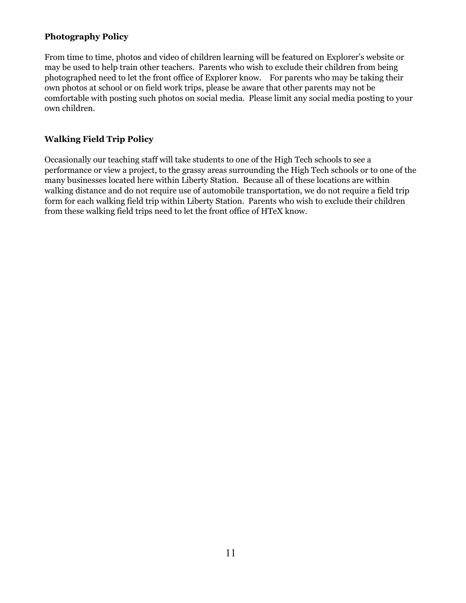#### **Photography Policy**

From time to time, photos and video of children learning will be featured on Explorer's website or may be used to help train other teachers. Parents who wish to exclude their children from being photographed need to let the front office of Explorer know. For parents who may be taking their own photos at school or on field work trips, please be aware that other parents may not be comfortable with posting such photos on social media. Please limit any social media posting to your own children.

#### **Walking Field Trip Policy**

Occasionally our teaching staff will take students to one of the High Tech schools to see a performance or view a project, to the grassy areas surrounding the High Tech schools or to one of the many businesses located here within Liberty Station. Because all of these locations are within walking distance and do not require use of automobile transportation, we do not require a field trip form for each walking field trip within Liberty Station. Parents who wish to exclude their children from these walking field trips need to let the front office of HTeX know.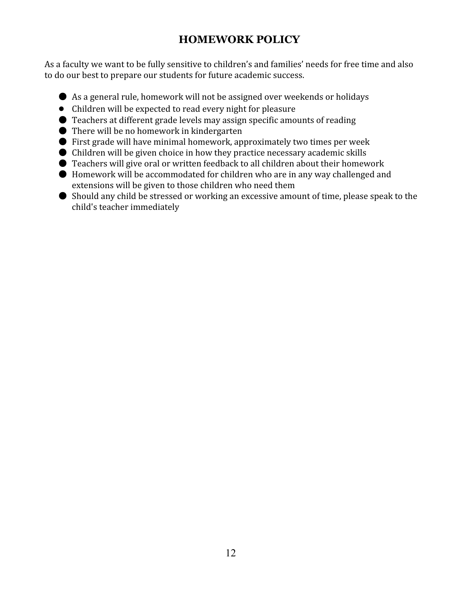# **HOMEWORK POLICY**

As a faculty we want to be fully sensitive to children's and families' needs for free time and also to do our best to prepare our students for future academic success.

- As a general rule, homework will not be assigned over weekends or holidays
- Children will be expected to read every night for pleasure
- $\bullet$  Teachers at different grade levels may assign specific amounts of reading
- There will be no homework in kindergarten
- First grade will have minimal homework, approximately two times per week
- Children will be given choice in how they practice necessary academic skills
- Teachers will give oral or written feedback to all children about their homework
- Homework will be accommodated for children who are in any way challenged and extensions will be given to those children who need them
- Should any child be stressed or working an excessive amount of time, please speak to the child's teacher immediately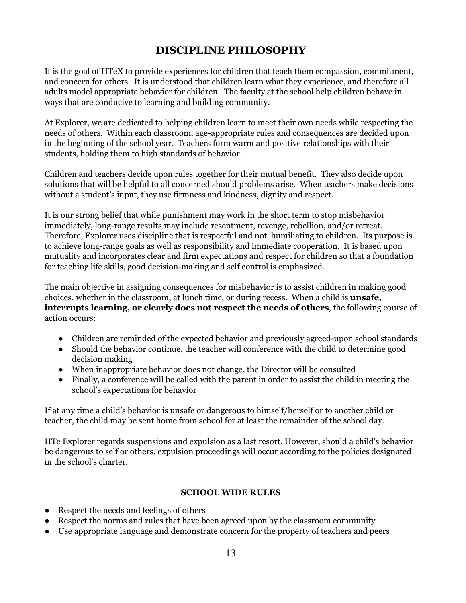# **DISCIPLINE PHILOSOPHY**

It is the goal of HTeX to provide experiences for children that teach them compassion, commitment, and concern for others. It is understood that children learn what they experience, and therefore all adults model appropriate behavior for children. The faculty at the school help children behave in ways that are conducive to learning and building community.

At Explorer, we are dedicated to helping children learn to meet their own needs while respecting the needs of others. Within each classroom, age-appropriate rules and consequences are decided upon in the beginning of the school year. Teachers form warm and positive relationships with their students, holding them to high standards of behavior.

Children and teachers decide upon rules together for their mutual benefit. They also decide upon solutions that will be helpful to all concerned should problems arise. When teachers make decisions without a student's input, they use firmness and kindness, dignity and respect.

It is our strong belief that while punishment may work in the short term to stop misbehavior immediately, long-range results may include resentment, revenge, rebellion, and/or retreat. Therefore, Explorer uses discipline that is respectful and not humiliating to children. Its purpose is to achieve long-range goals as well as responsibility and immediate cooperation. It is based upon mutuality and incorporates clear and firm expectations and respect for children so that a foundation for teaching life skills, good decision-making and self control is emphasized.

The main objective in assigning consequences for misbehavior is to assist children in making good choices, whether in the classroom, at lunch time, or during recess. When a child is **unsafe, interrupts learning, or clearly does not respect the needs of others**, the following course of action occurs:

- Children are reminded of the expected behavior and previously agreed-upon school standards
- Should the behavior continue, the teacher will conference with the child to determine good decision making
- When inappropriate behavior does not change, the Director will be consulted
- Finally, a conference will be called with the parent in order to assist the child in meeting the school's expectations for behavior

If at any time a child's behavior is unsafe or dangerous to himself/herself or to another child or teacher, the child may be sent home from school for at least the remainder of the school day.

HTe Explorer regards suspensions and expulsion as a last resort. However, should a child's behavior be dangerous to self or others, expulsion proceedings will occur according to the policies designated in the school's charter.

#### **SCHOOL WIDE RULES**

- Respect the needs and feelings of others
- Respect the norms and rules that have been agreed upon by the classroom community
- Use appropriate language and demonstrate concern for the property of teachers and peers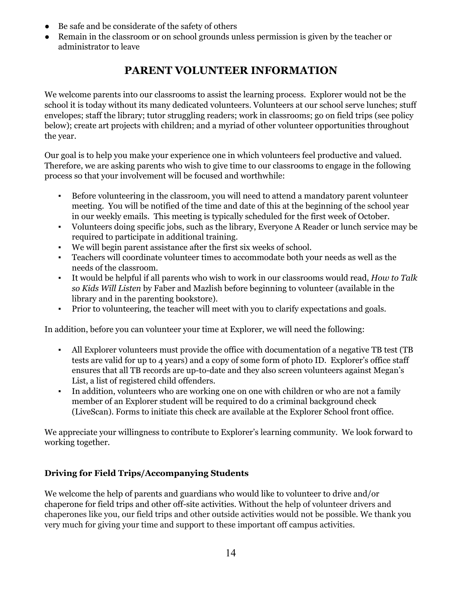- Be safe and be considerate of the safety of others
- Remain in the classroom or on school grounds unless permission is given by the teacher or administrator to leave

# **PARENT VOLUNTEER INFORMATION**

We welcome parents into our classrooms to assist the learning process. Explorer would not be the school it is today without its many dedicated volunteers. Volunteers at our school serve lunches; stuff envelopes; staff the library; tutor struggling readers; work in classrooms; go on field trips (see policy below); create art projects with children; and a myriad of other volunteer opportunities throughout the year.

Our goal is to help you make your experience one in which volunteers feel productive and valued. Therefore, we are asking parents who wish to give time to our classrooms to engage in the following process so that your involvement will be focused and worthwhile:

- Before volunteering in the classroom, you will need to attend a mandatory parent volunteer meeting. You will be notified of the time and date of this at the beginning of the school year in our weekly emails. This meeting is typically scheduled for the first week of October.
- Volunteers doing specific jobs, such as the library, Everyone A Reader or lunch service may be required to participate in additional training.
- We will begin parent assistance after the first six weeks of school.
- Teachers will coordinate volunteer times to accommodate both your needs as well as the needs of the classroom.
- It would be helpful if all parents who wish to work in our classrooms would read, *How to Talk so Kids Will Listen* by Faber and Mazlish before beginning to volunteer (available in the library and in the parenting bookstore).
- Prior to volunteering, the teacher will meet with you to clarify expectations and goals.

In addition, before you can volunteer your time at Explorer, we will need the following:

- All Explorer volunteers must provide the office with documentation of a negative TB test (TB tests are valid for up to 4 years) and a copy of some form of photo ID. Explorer's office staff ensures that all TB records are up-to-date and they also screen volunteers against Megan's List, a list of registered child offenders.
- In addition, volunteers who are working one on one with children or who are not a family member of an Explorer student will be required to do a criminal background check (LiveScan). Forms to initiate this check are available at the Explorer School front office.

We appreciate your willingness to contribute to Explorer's learning community. We look forward to working together.

### **Driving for Field Trips/Accompanying Students**

We welcome the help of parents and guardians who would like to volunteer to drive and/or chaperone for field trips and other off-site activities. Without the help of volunteer drivers and chaperones like you, our field trips and other outside activities would not be possible. We thank you very much for giving your time and support to these important off campus activities.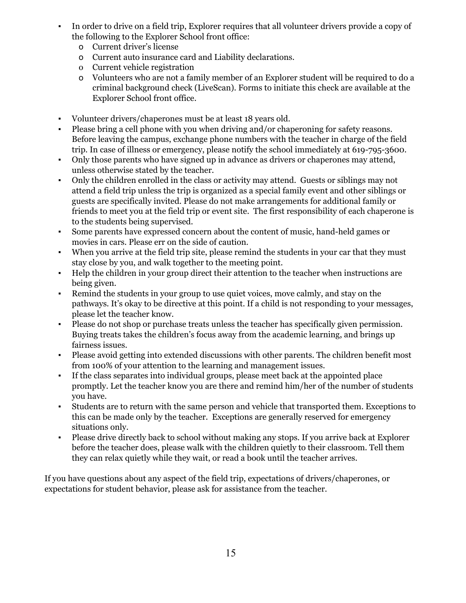- In order to drive on a field trip, Explorer requires that all volunteer drivers provide a copy of the following to the Explorer School front office:
	- o Current driver's license
	- o Current auto insurance card and Liability declarations.
	- o Current vehicle registration
	- o Volunteers who are not a family member of an Explorer student will be required to do a criminal background check (LiveScan). Forms to initiate this check are available at the Explorer School front office.
- Volunteer drivers/chaperones must be at least 18 years old.
- Please bring a cell phone with you when driving and/or chaperoning for safety reasons. Before leaving the campus, exchange phone numbers with the teacher in charge of the field trip. In case of illness or emergency, please notify the school immediately at 619-795-3600.
- Only those parents who have signed up in advance as drivers or chaperones may attend, unless otherwise stated by the teacher.
- Only the children enrolled in the class or activity may attend. Guests or siblings may not attend a field trip unless the trip is organized as a special family event and other siblings or guests are specifically invited. Please do not make arrangements for additional family or friends to meet you at the field trip or event site. The first responsibility of each chaperone is to the students being supervised.
- Some parents have expressed concern about the content of music, hand-held games or movies in cars. Please err on the side of caution.
- When you arrive at the field trip site, please remind the students in your car that they must stay close by you, and walk together to the meeting point.
- Help the children in your group direct their attention to the teacher when instructions are being given.
- Remind the students in your group to use quiet voices, move calmly, and stay on the pathways. It's okay to be directive at this point. If a child is not responding to your messages, please let the teacher know.
- Please do not shop or purchase treats unless the teacher has specifically given permission. Buying treats takes the children's focus away from the academic learning, and brings up fairness issues.
- Please avoid getting into extended discussions with other parents. The children benefit most from 100% of your attention to the learning and management issues.
- If the class separates into individual groups, please meet back at the appointed place promptly. Let the teacher know you are there and remind him/her of the number of students you have.
- Students are to return with the same person and vehicle that transported them. Exceptions to this can be made only by the teacher. Exceptions are generally reserved for emergency situations only.
- Please drive directly back to school without making any stops. If you arrive back at Explorer before the teacher does, please walk with the children quietly to their classroom. Tell them they can relax quietly while they wait, or read a book until the teacher arrives.

If you have questions about any aspect of the field trip, expectations of drivers/chaperones, or expectations for student behavior, please ask for assistance from the teacher.